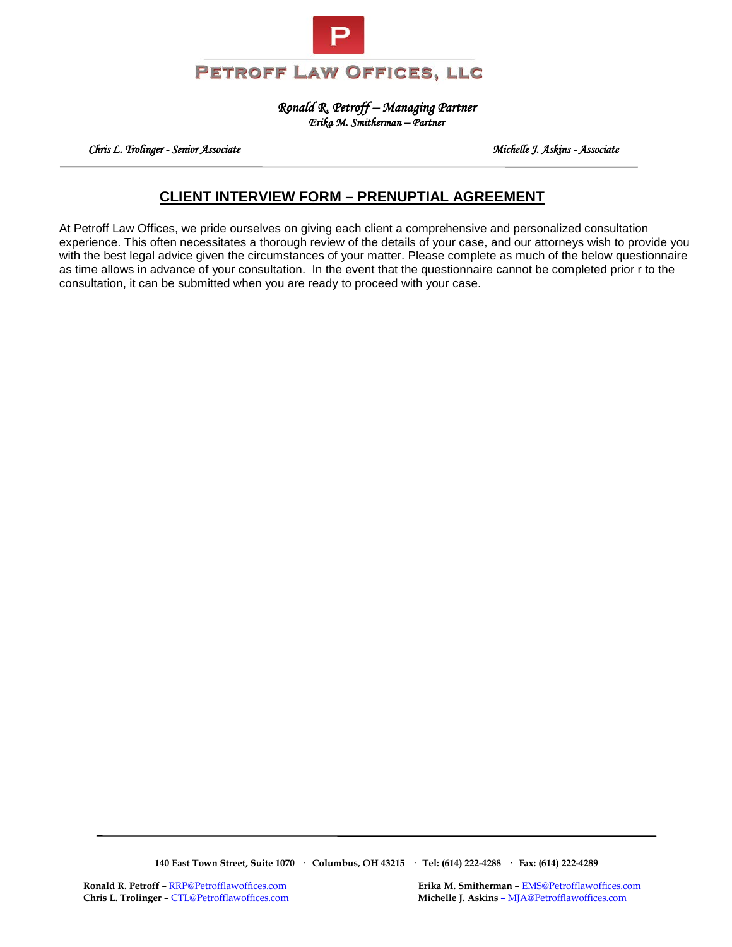

*Ronald R. Petroff – Managing Partner Erika M. Smitherman – Partner* 

 *Chris L. Trolinger - Senior Associate Michelle J. Askins - Associate* 

# **CLIENT INTERVIEW FORM – PRENUPTIAL AGREEMENT**

At Petroff Law Offices, we pride ourselves on giving each client a comprehensive and personalized consultation experience. This often necessitates a thorough review of the details of your case, and our attorneys wish to provide you with the best legal advice given the circumstances of your matter. Please complete as much of the below questionnaire as time allows in advance of your consultation. In the event that the questionnaire cannot be completed prior r to the consultation, it can be submitted when you are ready to proceed with your case.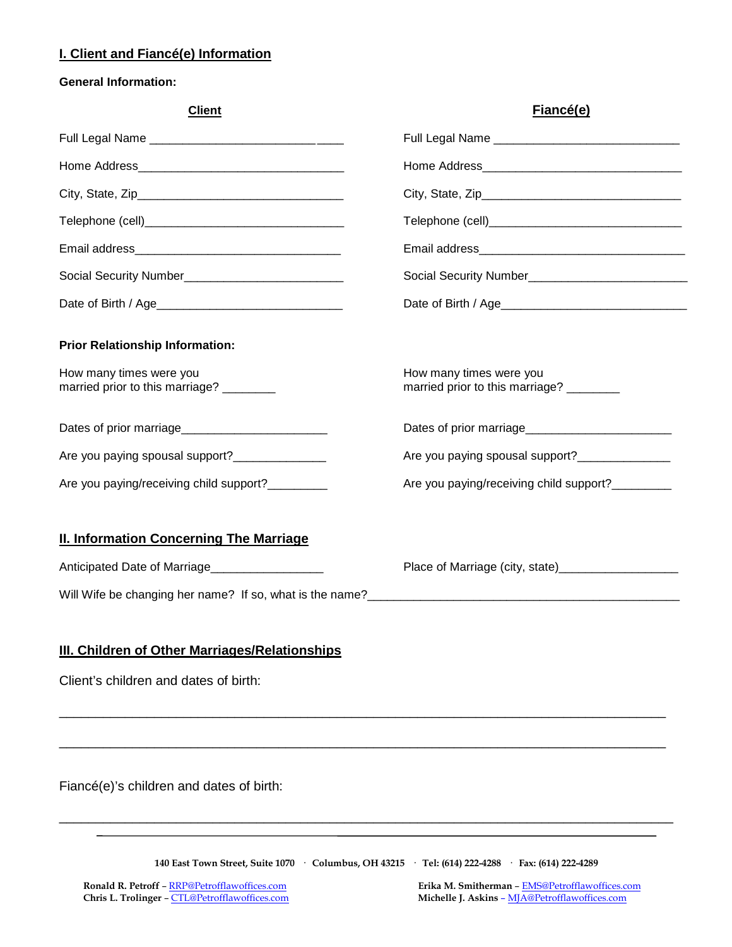# **I. Client and Fiancé(e) Information**

### **General Information:**

| <b>Client</b>                                                                                        | Fiancé(e)                                                          |
|------------------------------------------------------------------------------------------------------|--------------------------------------------------------------------|
|                                                                                                      |                                                                    |
|                                                                                                      |                                                                    |
|                                                                                                      |                                                                    |
|                                                                                                      |                                                                    |
|                                                                                                      |                                                                    |
|                                                                                                      |                                                                    |
|                                                                                                      |                                                                    |
| <b>Prior Relationship Information:</b><br>How many times were you<br>married prior to this marriage? | How many times were you<br>married prior to this marriage? _______ |
|                                                                                                      |                                                                    |
| Are you paying spousal support?______________                                                        | Are you paying spousal support?_______________                     |
| Are you paying/receiving child support?                                                              | Are you paying/receiving child support?                            |
| <b>II. Information Concerning The Marriage</b>                                                       |                                                                    |
| Anticipated Date of Marriage                                                                         |                                                                    |
| Will Wife be changing her name? If so, what is the name?                                             |                                                                    |
|                                                                                                      |                                                                    |

# **III. Children of Other Marriages/Relationships**

Client's children and dates of birth:

Fiancé(e)'s children and dates of birth:

**140 East Town Street, Suite 1070 · Columbus, OH 43215 · Tel: (614) 222-4288 · Fax: (614) 222-4289**

\_\_\_\_\_\_\_\_\_\_\_\_\_\_\_\_\_\_\_\_\_\_\_\_\_\_\_\_\_\_\_\_\_\_\_\_\_\_\_\_\_\_\_\_\_\_\_\_\_\_\_\_\_\_\_\_\_\_\_\_\_\_\_\_\_\_\_\_\_\_\_\_\_\_\_\_\_\_\_\_\_\_\_

\_\_\_\_\_\_\_\_\_\_\_\_\_\_\_\_\_\_\_\_\_\_\_\_\_\_\_\_\_\_\_\_\_\_\_\_\_\_\_\_\_\_\_\_\_\_\_\_\_\_\_\_\_\_\_\_\_\_\_\_\_\_\_\_\_\_\_\_\_\_\_\_\_\_\_\_\_\_\_\_\_\_\_

\_\_\_\_\_\_\_\_\_\_\_\_\_\_\_\_\_\_\_\_\_\_\_\_\_\_\_\_\_\_\_\_\_\_\_\_\_\_\_\_\_\_\_\_\_\_\_\_\_\_\_\_\_\_\_\_\_\_\_\_\_\_\_\_\_\_\_\_\_\_\_\_\_\_\_\_\_\_\_\_\_\_\_\_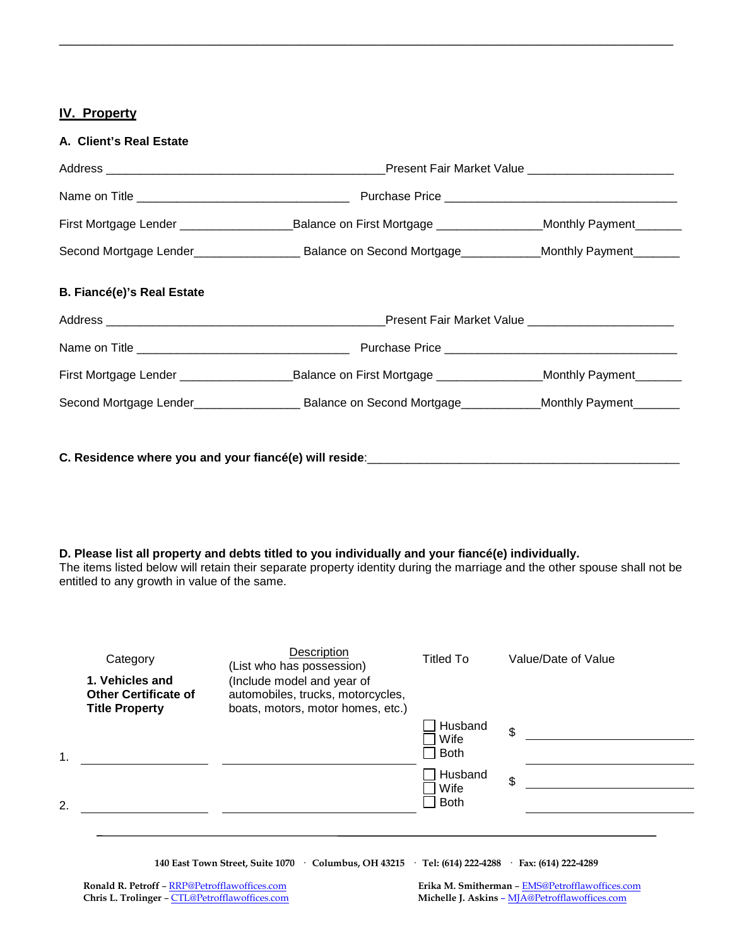## **IV. Property**

**A. Client's Real Estate**

|                                   | First Mortgage Lender _____________________________Balance on First Mortgage ____________________Monthly Payment_________     |  |  |
|-----------------------------------|-------------------------------------------------------------------------------------------------------------------------------|--|--|
|                                   |                                                                                                                               |  |  |
| <b>B. Fiancé(e)'s Real Estate</b> |                                                                                                                               |  |  |
|                                   |                                                                                                                               |  |  |
|                                   |                                                                                                                               |  |  |
|                                   | First Mortgage Lender ________________________________Balance on First Mortgage ____________________Monthly Payment__________ |  |  |
|                                   |                                                                                                                               |  |  |
|                                   |                                                                                                                               |  |  |
|                                   |                                                                                                                               |  |  |

\_\_\_\_\_\_\_\_\_\_\_\_\_\_\_\_\_\_\_\_\_\_\_\_\_\_\_\_\_\_\_\_\_\_\_\_\_\_\_\_\_\_\_\_\_\_\_\_\_\_\_\_\_\_\_\_\_\_\_\_\_\_\_\_\_\_\_\_\_\_\_\_\_\_\_\_\_\_\_\_\_\_\_\_

### **D. Please list all property and debts titled to you individually and your fiancé(e) individually.**

The items listed below will retain their separate property identity during the marriage and the other spouse shall not be entitled to any growth in value of the same.

| Category<br>1. Vehicles and<br><b>Other Certificate of</b><br><b>Title Property</b> | Description<br>(List who has possession)<br>(Include model and year of<br>automobiles, trucks, motorcycles,<br>boats, motors, motor homes, etc.) | Titled To                      | Value/Date of Value |
|-------------------------------------------------------------------------------------|--------------------------------------------------------------------------------------------------------------------------------------------------|--------------------------------|---------------------|
| 1.                                                                                  |                                                                                                                                                  | Husband<br>Wife<br><b>Both</b> | \$                  |
| 2.                                                                                  |                                                                                                                                                  | Husband<br>Wife<br><b>Both</b> | \$                  |
|                                                                                     |                                                                                                                                                  |                                |                     |

**140 East Town Street, Suite 1070 · Columbus, OH 43215 · Tel: (614) 222-4288 · Fax: (614) 222-4289**

**Ronald R. Petroff** – [RRP@Petrofflawoffices.com](mailto:RRP@Petrofflawoffices.com) **Erika M. Smitherman** – <u>[EMS@Petrofflawoffices.com](mailto:%E2%80%93%20EMS@Petrofflawoffices.com)</u> **Exits L. Trolinger** – CTL@Petrofflawoffices.com **Michelle J. Askins** – MJA@Petrofflawoffices.com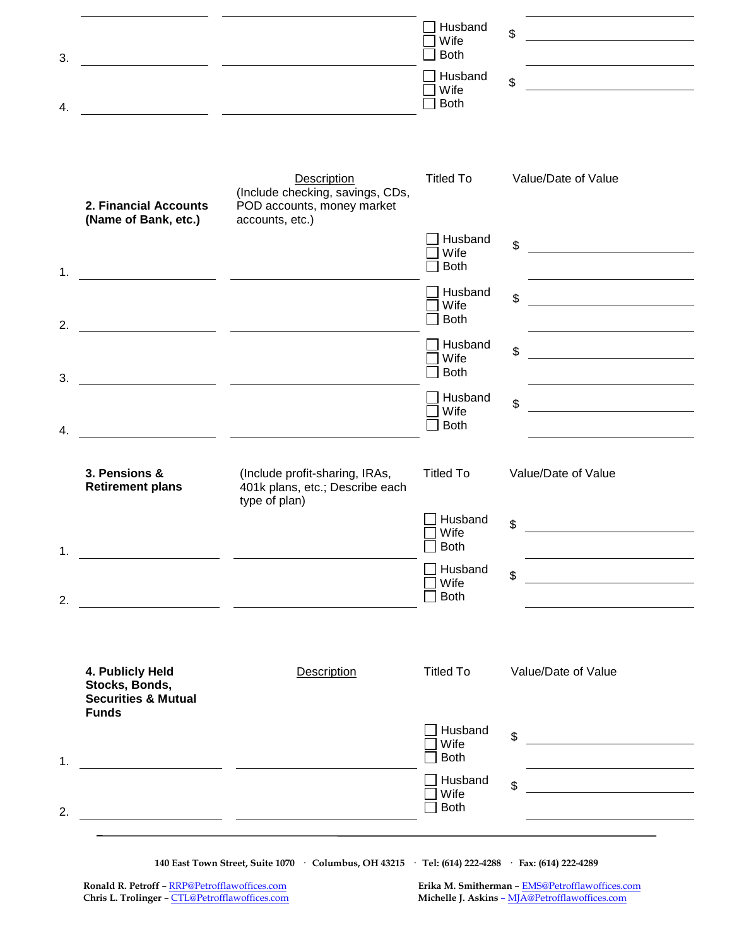|                                                                                      |                                                                                                                        | Wife<br><b>Both</b>                           | \$<br><u>and the control of the control of the control of the control of the control of the control of the control of the control of the control of the control of the control of the control of the control of the control of the con</u> |
|--------------------------------------------------------------------------------------|------------------------------------------------------------------------------------------------------------------------|-----------------------------------------------|--------------------------------------------------------------------------------------------------------------------------------------------------------------------------------------------------------------------------------------------|
|                                                                                      | <u> 1989 - Johann John Stone, mars eta industrial eta industrial eta industrial eta industrial eta industrial e</u>    | Husband<br>Wife<br><b>Both</b>                | \$<br><u> 1980 - Jan Samuel Barbara, politik eta politik eta politik eta politik eta politik eta politik eta politik e</u>                                                                                                                 |
| 2. Financial Accounts                                                                | Description<br>(Include checking, savings, CDs,<br>POD accounts, money market                                          | <b>Titled To</b>                              | Value/Date of Value                                                                                                                                                                                                                        |
| (Name of Bank, etc.)                                                                 | accounts, etc.)                                                                                                        | Husband<br>Wife                               | \$<br><u> 1980 - Jan Barbara III, martxa a shekara 1980 - 1981 - 1982 - 1982 - 1982 - 1982 - 1982 - 1982 - 1982 - 1982</u>                                                                                                                 |
|                                                                                      | <u> 1989 - Johann John Stone, mars et al. 1989 - John Stone, mars et al. 1989 - John Stone, mars et al. 1989 - Joh</u> | <b>Both</b><br>Husband<br>Wife<br><b>Both</b> | $\mathfrak{S}$<br><u> 1980 - Jan Samuel Barbara, politik eta politik eta politik eta politik eta politik eta politik eta politik e</u>                                                                                                     |
|                                                                                      |                                                                                                                        | Husband<br>Wife<br><b>Both</b>                | \$<br><u> 1989 - Jan Stein Stein Stein Stein Stein Stein Stein Stein Stein Stein Stein Stein Stein Stein Stein Stein S</u>                                                                                                                 |
|                                                                                      | <u> 1989 - Jan James James, martin a</u>                                                                               | Husband<br>Wife<br><b>Both</b>                | \$                                                                                                                                                                                                                                         |
| 3. Pensions &<br><b>Retirement plans</b>                                             | (Include profit-sharing, IRAs,<br>401k plans, etc.; Describe each<br>type of plan)                                     | <b>Titled To</b>                              | Value/Date of Value                                                                                                                                                                                                                        |
|                                                                                      |                                                                                                                        | Husband<br>Wife<br>$\Box$ Both                | \$                                                                                                                                                                                                                                         |
|                                                                                      | <u> 1989 - Johann John Stone, mars and de finale and de finale and de finale and de finale and de finale and de f</u>  | Husband<br>Wife<br>Both                       | \$                                                                                                                                                                                                                                         |
| 4. Publicly Held<br>Stocks, Bonds,<br><b>Securities &amp; Mutual</b><br><b>Funds</b> | <b>Description</b>                                                                                                     | <b>Titled To</b>                              | Value/Date of Value                                                                                                                                                                                                                        |
|                                                                                      |                                                                                                                        | Husband<br>Wife<br><b>Both</b>                | \$<br><u>and the state of the state of the state of the state of the state of the state of the state of the state of the state of the state of the state of the state of the state of the state of the state of the state of the state</u> |
|                                                                                      |                                                                                                                        | Husband<br>Wife<br><b>Both</b>                | \$                                                                                                                                                                                                                                         |

**140 East Town Street, Suite 1070 · Columbus, OH 43215 · Tel: (614) 222-4288 · Fax: (614) 222-4289**

 **Ronald R. Petroff** – [RRP@Petrofflawoffices.com](mailto:RRP@Petrofflawoffices.com) **Erika M. Smitherman** – [EMS@Petrofflawoffices.com](mailto:%E2%80%93%20EMS@Petrofflawoffices.com)  **Chris L. Trolinger** – [CTL@Petrofflawoffices.com](mailto:CTL@Petrofflawoffices.com) **Michelle J. Askins** – [MJA@Petrofflawoffices.com](mailto:%E2%80%93%20MJA@Petrofflawoffices.com)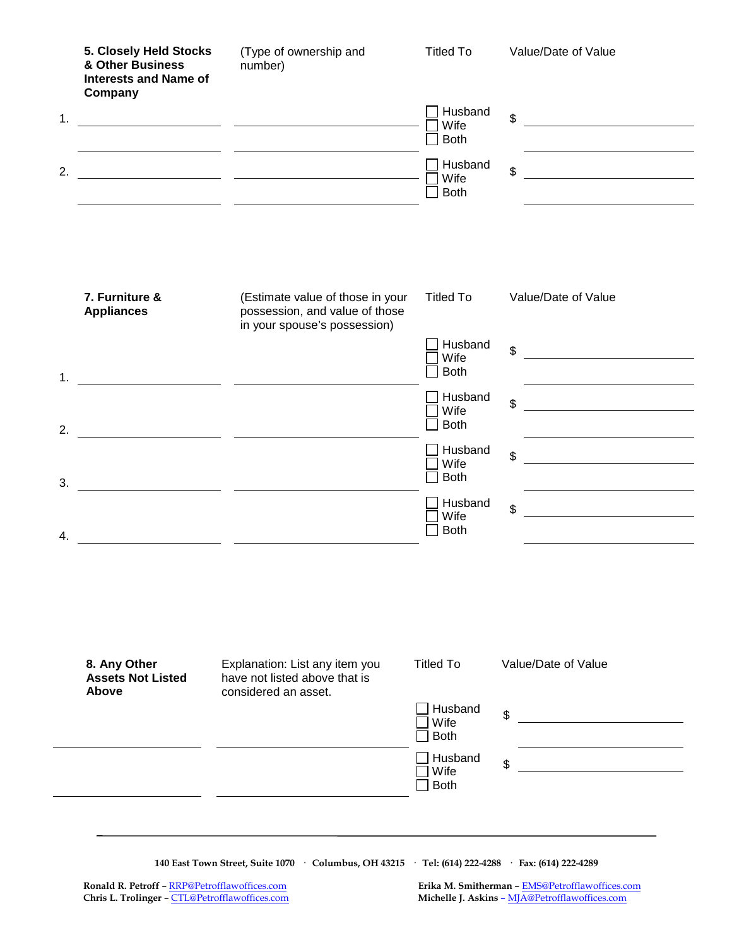| 5. Closely Held Stocks<br>& Other Business<br><b>Interests and Name of</b><br>Company | (Type of ownership and<br>number)                                                                                     | <b>Titled To</b>               | Value/Date of Value                                                                                                                    |
|---------------------------------------------------------------------------------------|-----------------------------------------------------------------------------------------------------------------------|--------------------------------|----------------------------------------------------------------------------------------------------------------------------------------|
|                                                                                       | <u> 1989 - Johann Harry Harry Harry Harry Harry Harry Harry Harry Harry Harry Harry Harry Harry Harry Harry Harry</u> | Husband<br>Wife<br><b>Both</b> | $\mathfrak{S}$                                                                                                                         |
|                                                                                       |                                                                                                                       | Husband<br>Wife<br><b>Both</b> | \$<br><u> 1980 - Jan Barbara Barat, manala</u>                                                                                         |
| 7. Furniture &<br><b>Appliances</b>                                                   | (Estimate value of those in your<br>possession, and value of those<br>in your spouse's possession)                    | <b>Titled To</b>               | Value/Date of Value                                                                                                                    |
|                                                                                       | <u> 1980 - Jan James James, amerikansk politik (</u>                                                                  | Husband<br>Wife<br><b>Both</b> | $\mathfrak{S}$<br><u> 1989 - Johann Harry Barn, mars ar breist fan de Fryske kommer</u>                                                |
|                                                                                       |                                                                                                                       | Husband<br>Wife<br><b>Both</b> | \$<br><u> 1989 - Johann Stoff, Amerikaansk politiker (</u>                                                                             |
|                                                                                       | <u> 1989 - Andrea Andrew Maria (b. 1989)</u>                                                                          | Husband<br>Wife<br><b>Both</b> | $\mathfrak{S}$                                                                                                                         |
|                                                                                       |                                                                                                                       | Husband<br>Wife<br><b>Both</b> | $\mathfrak{S}$<br><u> 1980 - Jan Samuel Barbara, politik eta politik eta politik eta politik eta politik eta politik eta politik e</u> |
| 8. Any Other<br><b>Assets Not Listed</b>                                              | Explanation: List any item you<br>have not listed above that is                                                       | <b>Titled To</b>               | Value/Date of Value                                                                                                                    |
| Above                                                                                 | considered an asset.                                                                                                  | Husband<br>Wife<br><b>Both</b> | \$                                                                                                                                     |
|                                                                                       |                                                                                                                       | Husband<br>Wife<br><b>Both</b> | \$                                                                                                                                     |

**140 East Town Street, Suite 1070 · Columbus, OH 43215 · Tel: (614) 222-4288 · Fax: (614) 222-4289**

 **Ronald R. Petroff** – [RRP@Petrofflawoffices.com](mailto:RRP@Petrofflawoffices.com) **Erika M. Smitherman** – [EMS@Petrofflawoffices.com](mailto:%E2%80%93%20EMS@Petrofflawoffices.com)  **Chris L. Trolinger** – [CTL@Petrofflawoffices.com](mailto:CTL@Petrofflawoffices.com) **Michelle J. Askins** – [MJA@Petrofflawoffices.com](mailto:%E2%80%93%20MJA@Petrofflawoffices.com)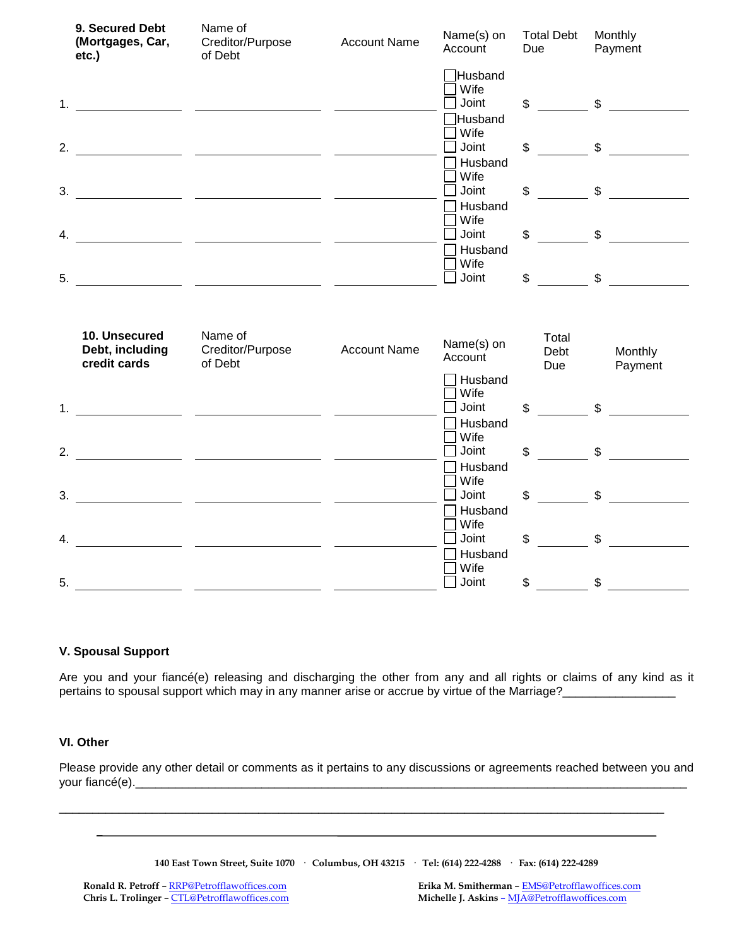|    | 9. Secured Debt<br>(Mortgages, Car,<br>etc.)     | Name of<br>Creditor/Purpose<br>of Debt | <b>Account Name</b> | Name(s) on<br>Account                       | <b>Total Debt</b><br>Due        | Monthly<br>Payment                                                                                                                                                                                                                                                                                                  |
|----|--------------------------------------------------|----------------------------------------|---------------------|---------------------------------------------|---------------------------------|---------------------------------------------------------------------------------------------------------------------------------------------------------------------------------------------------------------------------------------------------------------------------------------------------------------------|
|    |                                                  |                                        |                     | Husband<br>Wife<br>Joint<br>Husband         |                                 | $\frac{1}{2}$ $\frac{1}{2}$ $\frac{1}{2}$ $\frac{1}{2}$ $\frac{1}{2}$ $\frac{1}{2}$ $\frac{1}{2}$ $\frac{1}{2}$ $\frac{1}{2}$ $\frac{1}{2}$ $\frac{1}{2}$ $\frac{1}{2}$ $\frac{1}{2}$ $\frac{1}{2}$ $\frac{1}{2}$ $\frac{1}{2}$ $\frac{1}{2}$ $\frac{1}{2}$ $\frac{1}{2}$ $\frac{1}{2}$ $\frac{1}{2}$ $\frac{1}{2}$ |
|    |                                                  |                                        |                     | Wife<br>Joint<br>Husband                    |                                 | $\frac{1}{2}$ $\frac{1}{2}$ $\frac{1}{2}$ $\frac{1}{2}$ $\frac{1}{2}$ $\frac{1}{2}$ $\frac{1}{2}$ $\frac{1}{2}$ $\frac{1}{2}$ $\frac{1}{2}$ $\frac{1}{2}$ $\frac{1}{2}$ $\frac{1}{2}$ $\frac{1}{2}$ $\frac{1}{2}$ $\frac{1}{2}$ $\frac{1}{2}$ $\frac{1}{2}$ $\frac{1}{2}$ $\frac{1}{2}$ $\frac{1}{2}$ $\frac{1}{2}$ |
| 3. |                                                  |                                        |                     | Wife<br>Joint<br>Husband<br>Wife            | $\frac{1}{2}$                   | $\frac{1}{2}$                                                                                                                                                                                                                                                                                                       |
| 4. |                                                  |                                        |                     | Joint<br>Husband<br>Wife                    | $\frac{1}{\sqrt{2}}$ \$<br>\$   |                                                                                                                                                                                                                                                                                                                     |
| 5. |                                                  |                                        |                     | Joint                                       | $\mathbb S$                     | $\mathfrak s$                                                                                                                                                                                                                                                                                                       |
|    | 10. Unsecured<br>Debt, including<br>credit cards | Name of<br>Creditor/Purpose<br>of Debt | <b>Account Name</b> | Name(s) on<br>Account                       | Total<br>Debt<br>Due            | Monthly<br>Payment                                                                                                                                                                                                                                                                                                  |
|    |                                                  |                                        |                     | Husband<br>Wife<br>Joint                    |                                 | $\frac{1}{2}$ $\frac{1}{2}$ $\frac{1}{2}$ $\frac{1}{2}$ $\frac{1}{2}$ $\frac{1}{2}$ $\frac{1}{2}$ $\frac{1}{2}$ $\frac{1}{2}$ $\frac{1}{2}$ $\frac{1}{2}$ $\frac{1}{2}$ $\frac{1}{2}$ $\frac{1}{2}$ $\frac{1}{2}$ $\frac{1}{2}$ $\frac{1}{2}$ $\frac{1}{2}$ $\frac{1}{2}$ $\frac{1}{2}$ $\frac{1}{2}$ $\frac{1}{2}$ |
|    |                                                  |                                        |                     | Husband<br>Wife<br>Joint                    | $\mathfrak{S}$                  | $\frac{1}{\sqrt{2}}$                                                                                                                                                                                                                                                                                                |
|    |                                                  |                                        |                     |                                             |                                 |                                                                                                                                                                                                                                                                                                                     |
| 3. |                                                  |                                        |                     | Husband<br>Wife<br>Joint                    | $\mathcal{S}$<br>$\mathfrak{S}$ |                                                                                                                                                                                                                                                                                                                     |
| 4. |                                                  |                                        |                     | Husband<br>Wife<br>Joint<br>Husband<br>Wife | \$                              | $\mathbb S$                                                                                                                                                                                                                                                                                                         |

### **V. Spousal Support**

Are you and your fiancé(e) releasing and discharging the other from any and all rights or claims of any kind as it pertains to spousal support which may in any manner arise or accrue by virtue of the Marriage?

### **VI. Other**

Please provide any other detail or comments as it pertains to any discussions or agreements reached between you and your fiancé(e).\_

\_\_\_\_\_\_\_\_\_\_\_\_\_\_\_\_\_\_\_\_\_\_\_\_\_\_\_\_\_\_\_\_\_\_\_\_\_\_\_\_\_\_\_\_\_\_\_\_\_\_\_\_\_\_\_\_\_\_\_\_\_\_\_\_\_\_\_\_\_\_\_\_\_\_\_\_\_\_\_\_\_\_\_\_\_\_\_\_\_\_\_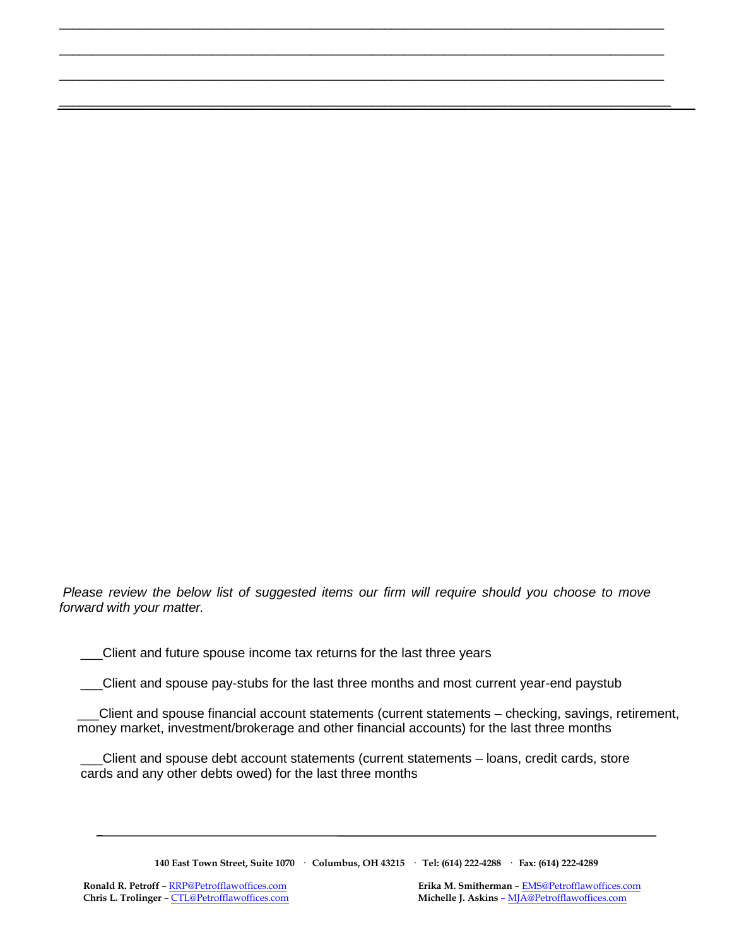*Please review the below list of suggested items our firm will require should you choose to move forward with your matter.*

\_\_\_\_\_\_\_\_\_\_\_\_\_\_\_\_\_\_\_\_\_\_\_\_\_\_\_\_\_\_\_\_\_\_\_\_\_\_\_\_\_\_\_\_\_\_\_\_\_\_\_\_\_\_\_\_\_\_\_\_\_\_\_\_\_\_\_\_\_\_\_\_\_\_\_\_\_\_\_\_\_\_\_\_\_\_\_\_\_\_\_

\_\_\_\_\_\_\_\_\_\_\_\_\_\_\_\_\_\_\_\_\_\_\_\_\_\_\_\_\_\_\_\_\_\_\_\_\_\_\_\_\_\_\_\_\_\_\_\_\_\_\_\_\_\_\_\_\_\_\_\_\_\_\_\_\_\_\_\_\_\_\_\_\_\_\_\_\_\_\_\_\_\_\_\_\_\_\_\_\_\_\_

\_\_\_\_\_\_\_\_\_\_\_\_\_\_\_\_\_\_\_\_\_\_\_\_\_\_\_\_\_\_\_\_\_\_\_\_\_\_\_\_\_\_\_\_\_\_\_\_\_\_\_\_\_\_\_\_\_\_\_\_\_\_\_\_\_\_\_\_\_\_\_\_\_\_\_\_\_\_\_\_\_\_\_\_\_\_\_\_\_\_\_

\_\_\_\_\_\_\_\_\_\_\_\_\_\_\_\_\_\_\_\_\_\_\_\_\_\_\_\_\_\_\_\_\_\_\_\_\_\_\_\_\_\_\_\_\_\_\_\_\_\_\_\_\_\_\_\_\_\_\_\_\_\_\_\_\_\_\_\_\_\_\_\_\_\_\_\_\_\_\_\_\_\_\_\_\_\_\_\_\_\_\_\_

Client and future spouse income tax returns for the last three years

\_\_\_Client and spouse pay-stubs for the last three months and most current year-end paystub

\_\_\_Client and spouse financial account statements (current statements – checking, savings, retirement, money market, investment/brokerage and other financial accounts) for the last three months

\_\_\_Client and spouse debt account statements (current statements – loans, credit cards, store cards and any other debts owed) for the last three months